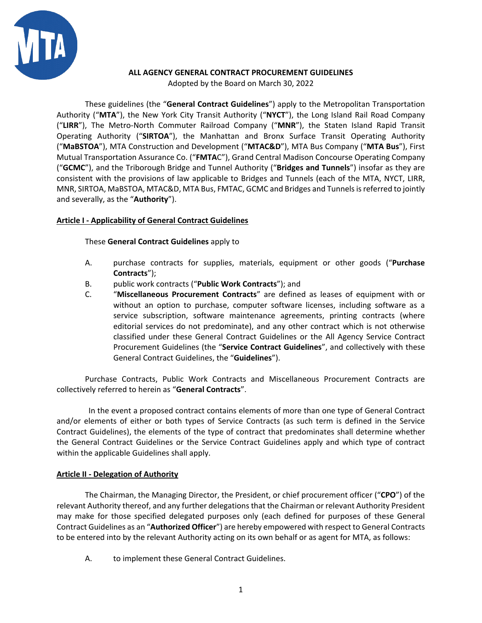

# **ALL AGENCY GENERAL CONTRACT PROCUREMENT GUIDELINES**

Adopted by the Board on March 30, 2022

These guidelines (the "**General Contract Guidelines**") apply to the Metropolitan Transportation Authority ("**MTA**"), the New York City Transit Authority ("**NYCT**"), the Long Island Rail Road Company ("**LIRR**"), The Metro-North Commuter Railroad Company ("**MNR**"), the Staten Island Rapid Transit Operating Authority ("**SIRTOA**"), the Manhattan and Bronx Surface Transit Operating Authority ("**MaBSTOA**"), MTA Construction and Development ("**MTAC&D**"), MTA Bus Company ("**MTA Bus**"), First Mutual Transportation Assurance Co. ("**FMTA**C"), Grand Central Madison Concourse Operating Company ("**GCMC**"), and the Triborough Bridge and Tunnel Authority ("**Bridges and Tunnels**") insofar as they are consistent with the provisions of law applicable to Bridges and Tunnels (each of the MTA, NYCT, LIRR, MNR, SIRTOA, MaBSTOA, MTAC&D, MTA Bus, FMTAC, GCMC and Bridges and Tunnels is referred to jointly and severally, as the "**Authority**").

# **Article I - Applicability of General Contract Guidelines**

These **General Contract Guidelines** apply to

- A. purchase contracts for supplies, materials, equipment or other goods ("**Purchase Contracts**");
- B. public work contracts ("**Public Work Contracts**"); and
- C. "**Miscellaneous Procurement Contracts**" are defined as leases of equipment with or without an option to purchase, computer software licenses, including software as a service subscription, software maintenance agreements, printing contracts (where editorial services do not predominate), and any other contract which is not otherwise classified under these General Contract Guidelines or the All Agency Service Contract Procurement Guidelines (the "**Service Contract Guidelines**", and collectively with these General Contract Guidelines, the "**Guidelines**").

Purchase Contracts, Public Work Contracts and Miscellaneous Procurement Contracts are collectively referred to herein as "**General Contracts**".

In the event a proposed contract contains elements of more than one type of General Contract and/or elements of either or both types of Service Contracts (as such term is defined in the Service Contract Guidelines), the elements of the type of contract that predominates shall determine whether the General Contract Guidelines or the Service Contract Guidelines apply and which type of contract within the applicable Guidelines shall apply.

## **Article II - Delegation of Authority**

The Chairman, the Managing Director, the President, or chief procurement officer ("**CPO**") of the relevant Authority thereof, and any further delegations that the Chairman or relevant Authority President may make for those specified delegated purposes only (each defined for purposes of these General Contract Guidelines as an "**Authorized Officer**") are hereby empowered with respect to General Contracts to be entered into by the relevant Authority acting on its own behalf or as agent for MTA, as follows:

A. to implement these General Contract Guidelines.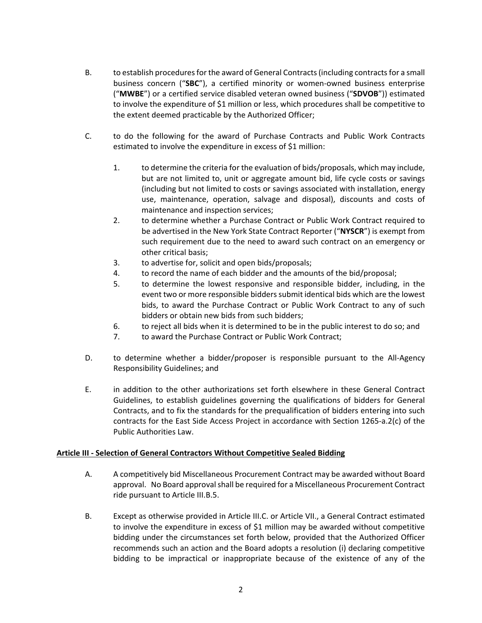- B. to establish procedures for the award of General Contracts (including contracts for a small business concern ("**SBC**"), a certified minority or women-owned business enterprise ("**MWBE**") or a certified service disabled veteran owned business ("**SDVOB**")) estimated to involve the expenditure of \$1 million or less, which procedures shall be competitive to the extent deemed practicable by the Authorized Officer;
- C. to do the following for the award of Purchase Contracts and Public Work Contracts estimated to involve the expenditure in excess of \$1 million:
	- 1. to determine the criteria for the evaluation of bids/proposals, which may include, but are not limited to, unit or aggregate amount bid, life cycle costs or savings (including but not limited to costs or savings associated with installation, energy use, maintenance, operation, salvage and disposal), discounts and costs of maintenance and inspection services;
	- 2. to determine whether a Purchase Contract or Public Work Contract required to be advertised in the New York State Contract Reporter ("**NYSCR**") is exempt from such requirement due to the need to award such contract on an emergency or other critical basis;
	- 3. to advertise for, solicit and open bids/proposals;
	- 4. to record the name of each bidder and the amounts of the bid/proposal;
	- 5. to determine the lowest responsive and responsible bidder, including, in the event two or more responsible bidders submit identical bids which are the lowest bids, to award the Purchase Contract or Public Work Contract to any of such bidders or obtain new bids from such bidders;
	- 6. to reject all bids when it is determined to be in the public interest to do so; and
	- 7. to award the Purchase Contract or Public Work Contract;
- D. to determine whether a bidder/proposer is responsible pursuant to the All-Agency Responsibility Guidelines; and
- E. in addition to the other authorizations set forth elsewhere in these General Contract Guidelines, to establish guidelines governing the qualifications of bidders for General Contracts, and to fix the standards for the prequalification of bidders entering into such contracts for the East Side Access Project in accordance with Section 1265-a.2(c) of the Public Authorities Law.

## **Article III - Selection of General Contractors Without Competitive Sealed Bidding**

- A. A competitively bid Miscellaneous Procurement Contract may be awarded without Board approval. No Board approval shall be required for a Miscellaneous Procurement Contract ride pursuant to Article III.B.5.
- B. Except as otherwise provided in Article III.C. or Article VII., a General Contract estimated to involve the expenditure in excess of \$1 million may be awarded without competitive bidding under the circumstances set forth below, provided that the Authorized Officer recommends such an action and the Board adopts a resolution (i) declaring competitive bidding to be impractical or inappropriate because of the existence of any of the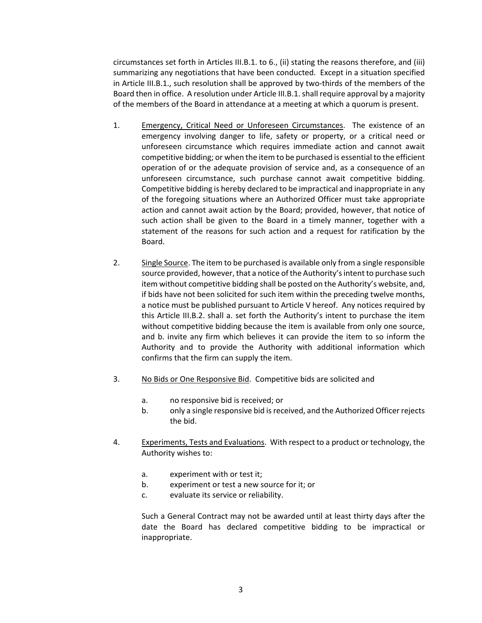circumstances set forth in Articles III.B.1. to 6., (ii) stating the reasons therefore, and (iii) summarizing any negotiations that have been conducted. Except in a situation specified in Article III.B.1., such resolution shall be approved by two-thirds of the members of the Board then in office. A resolution under Article III.B.1.shall require approval by a majority of the members of the Board in attendance at a meeting at which a quorum is present.

- 1. Emergency, Critical Need or Unforeseen Circumstances. The existence of an emergency involving danger to life, safety or property, or a critical need or unforeseen circumstance which requires immediate action and cannot await competitive bidding; or when the item to be purchased is essential to the efficient operation of or the adequate provision of service and, as a consequence of an unforeseen circumstance, such purchase cannot await competitive bidding. Competitive bidding is hereby declared to be impractical and inappropriate in any of the foregoing situations where an Authorized Officer must take appropriate action and cannot await action by the Board; provided, however, that notice of such action shall be given to the Board in a timely manner, together with a statement of the reasons for such action and a request for ratification by the Board.
- 2. Single Source. The item to be purchased is available only from a single responsible source provided, however, that a notice of the Authority's intent to purchase such item without competitive bidding shall be posted on the Authority's website, and, if bids have not been solicited for such item within the preceding twelve months, a notice must be published pursuant to Article V hereof. Any notices required by this Article III.B.2. shall a. set forth the Authority's intent to purchase the item without competitive bidding because the item is available from only one source, and b. invite any firm which believes it can provide the item to so inform the Authority and to provide the Authority with additional information which confirms that the firm can supply the item.
- 3. No Bids or One Responsive Bid. Competitive bids are solicited and
	- a. no responsive bid is received; or
	- b. only a single responsive bid is received, and the Authorized Officer rejects the bid.
- 4. Experiments, Tests and Evaluations. With respect to a product or technology, the Authority wishes to:
	- a. experiment with or test it;
	- b. experiment or test a new source for it; or
	- c. evaluate its service or reliability.

Such a General Contract may not be awarded until at least thirty days after the date the Board has declared competitive bidding to be impractical or inappropriate.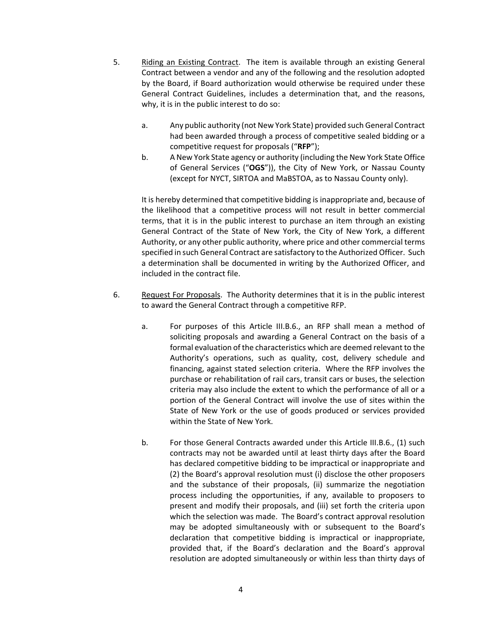- 5. Riding an Existing Contract. The item is available through an existing General Contract between a vendor and any of the following and the resolution adopted by the Board, if Board authorization would otherwise be required under these General Contract Guidelines, includes a determination that, and the reasons, why, it is in the public interest to do so:
	- a. Any public authority (not New York State) provided such General Contract had been awarded through a process of competitive sealed bidding or a competitive request for proposals ("**RFP**");
	- b. A New York State agency or authority (including the New York State Office of General Services ("**OGS**")), the City of New York, or Nassau County (except for NYCT, SIRTOA and MaBSTOA, as to Nassau County only).

It is hereby determined that competitive bidding is inappropriate and, because of the likelihood that a competitive process will not result in better commercial terms, that it is in the public interest to purchase an item through an existing General Contract of the State of New York, the City of New York, a different Authority, or any other public authority, where price and other commercial terms specified in such General Contract are satisfactory to the Authorized Officer. Such a determination shall be documented in writing by the Authorized Officer, and included in the contract file.

- 6. Request For Proposals. The Authority determines that it is in the public interest to award the General Contract through a competitive RFP.
	- a. For purposes of this Article III.B.6., an RFP shall mean a method of soliciting proposals and awarding a General Contract on the basis of a formal evaluation of the characteristics which are deemed relevant to the Authority's operations, such as quality, cost, delivery schedule and financing, against stated selection criteria. Where the RFP involves the purchase or rehabilitation of rail cars, transit cars or buses, the selection criteria may also include the extent to which the performance of all or a portion of the General Contract will involve the use of sites within the State of New York or the use of goods produced or services provided within the State of New York.
	- b. For those General Contracts awarded under this Article III.B.6., (1) such contracts may not be awarded until at least thirty days after the Board has declared competitive bidding to be impractical or inappropriate and (2) the Board's approval resolution must (i) disclose the other proposers and the substance of their proposals, (ii) summarize the negotiation process including the opportunities, if any, available to proposers to present and modify their proposals, and (iii) set forth the criteria upon which the selection was made. The Board's contract approval resolution may be adopted simultaneously with or subsequent to the Board's declaration that competitive bidding is impractical or inappropriate, provided that, if the Board's declaration and the Board's approval resolution are adopted simultaneously or within less than thirty days of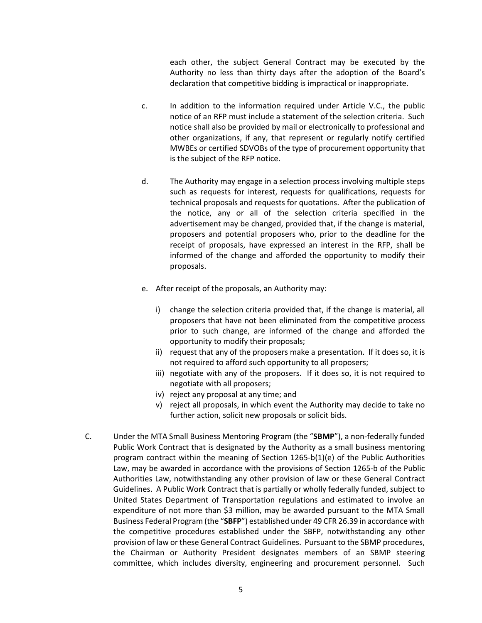each other, the subject General Contract may be executed by the Authority no less than thirty days after the adoption of the Board's declaration that competitive bidding is impractical or inappropriate.

- c. In addition to the information required under Article V.C., the public notice of an RFP must include a statement of the selection criteria. Such notice shall also be provided by mail or electronically to professional and other organizations, if any, that represent or regularly notify certified MWBEs or certified SDVOBs of the type of procurement opportunity that is the subject of the RFP notice.
- d. The Authority may engage in a selection process involving multiple steps such as requests for interest, requests for qualifications, requests for technical proposals and requests for quotations. After the publication of the notice, any or all of the selection criteria specified in the advertisement may be changed, provided that, if the change is material, proposers and potential proposers who, prior to the deadline for the receipt of proposals, have expressed an interest in the RFP, shall be informed of the change and afforded the opportunity to modify their proposals.
- e. After receipt of the proposals, an Authority may:
	- i) change the selection criteria provided that, if the change is material, all proposers that have not been eliminated from the competitive process prior to such change, are informed of the change and afforded the opportunity to modify their proposals;
	- ii) request that any of the proposers make a presentation. If it does so, it is not required to afford such opportunity to all proposers;
	- iii) negotiate with any of the proposers. If it does so, it is not required to negotiate with all proposers;
	- iv) reject any proposal at any time; and
	- v) reject all proposals, in which event the Authority may decide to take no further action, solicit new proposals or solicit bids.
- C. Under the MTA Small Business Mentoring Program (the "**SBMP**"), a non-federally funded Public Work Contract that is designated by the Authority as a small business mentoring program contract within the meaning of Section 1265-b(1)(e) of the Public Authorities Law, may be awarded in accordance with the provisions of Section 1265-b of the Public Authorities Law, notwithstanding any other provision of law or these General Contract Guidelines. A Public Work Contract that is partially or wholly federally funded, subject to United States Department of Transportation regulations and estimated to involve an expenditure of not more than \$3 million, may be awarded pursuant to the MTA Small Business Federal Program (the "**SBFP**") established under 49 CFR 26.39 in accordance with the competitive procedures established under the SBFP, notwithstanding any other provision of law or these General Contract Guidelines. Pursuant to the SBMP procedures, the Chairman or Authority President designates members of an SBMP steering committee, which includes diversity, engineering and procurement personnel. Such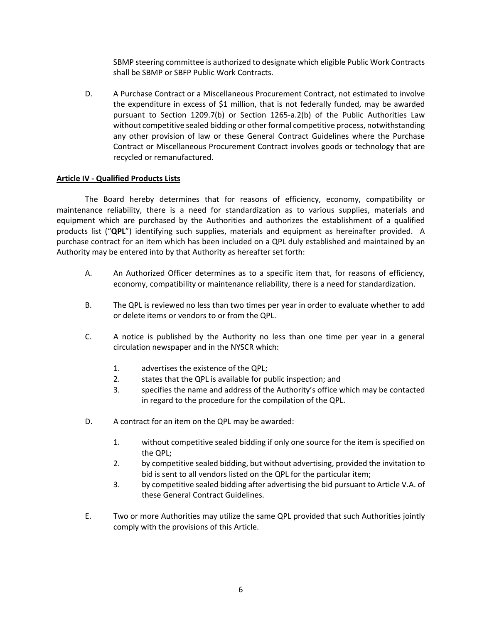SBMP steering committee is authorized to designate which eligible Public Work Contracts shall be SBMP or SBFP Public Work Contracts.

D. A Purchase Contract or a Miscellaneous Procurement Contract, not estimated to involve the expenditure in excess of \$1 million, that is not federally funded, may be awarded pursuant to Section 1209.7(b) or Section 1265-a.2(b) of the Public Authorities Law without competitive sealed bidding or other formal competitive process, notwithstanding any other provision of law or these General Contract Guidelines where the Purchase Contract or Miscellaneous Procurement Contract involves goods or technology that are recycled or remanufactured.

## **Article IV - Qualified Products Lists**

The Board hereby determines that for reasons of efficiency, economy, compatibility or maintenance reliability, there is a need for standardization as to various supplies, materials and equipment which are purchased by the Authorities and authorizes the establishment of a qualified products list ("**QPL**") identifying such supplies, materials and equipment as hereinafter provided. A purchase contract for an item which has been included on a QPL duly established and maintained by an Authority may be entered into by that Authority as hereafter set forth:

- A. An Authorized Officer determines as to a specific item that, for reasons of efficiency, economy, compatibility or maintenance reliability, there is a need for standardization.
- B. The QPL is reviewed no less than two times per year in order to evaluate whether to add or delete items or vendors to or from the QPL.
- C. A notice is published by the Authority no less than one time per year in a general circulation newspaper and in the NYSCR which:
	- 1. advertises the existence of the QPL;
	- 2. states that the QPL is available for public inspection; and
	- 3. specifies the name and address of the Authority's office which may be contacted in regard to the procedure for the compilation of the QPL.
- D. A contract for an item on the QPL may be awarded:
	- 1. without competitive sealed bidding if only one source for the item is specified on the QPL;
	- 2. by competitive sealed bidding, but without advertising, provided the invitation to bid is sent to all vendors listed on the QPL for the particular item;
	- 3. by competitive sealed bidding after advertising the bid pursuant to Article V.A. of these General Contract Guidelines.
- E. Two or more Authorities may utilize the same QPL provided that such Authorities jointly comply with the provisions of this Article.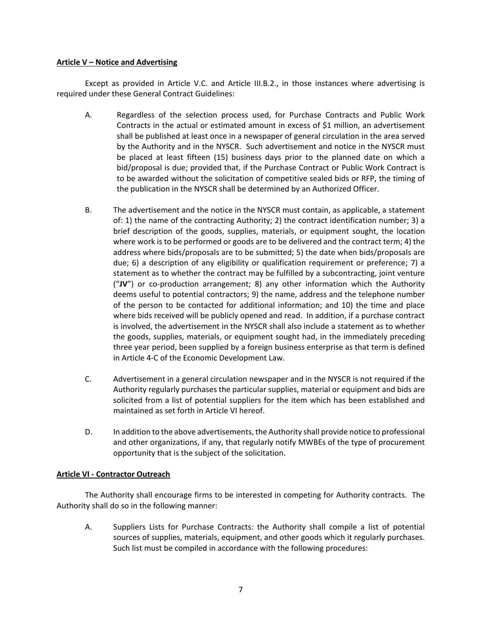#### **Article V – Notice and Advertising**

Except as provided in Article V.C. and Article III.B.2., in those instances where advertising is required under these General Contract Guidelines:

- A. Regardless of the selection process used, for Purchase Contracts and Public Work Contracts in the actual or estimated amount in excess of \$1 million, an advertisement shall be published at least once in a newspaper of general circulation in the area served by the Authority and in the NYSCR. Such advertisement and notice in the NYSCR must be placed at least fifteen (15) business days prior to the planned date on which a bid/proposal is due; provided that, if the Purchase Contract or Public Work Contract is to be awarded without the solicitation of competitive sealed bids or RFP, the timing of the publication in the NYSCR shall be determined by an Authorized Officer.
- B. The advertisement and the notice in the NYSCR must contain, as applicable, a statement of: 1) the name of the contracting Authority; 2) the contract identification number; 3) a brief description of the goods, supplies, materials, or equipment sought, the location where work is to be performed or goods are to be delivered and the contract term; 4) the address where bids/proposals are to be submitted; 5) the date when bids/proposals are due; 6) a description of any eligibility or qualification requirement or preference; 7) a statement as to whether the contract may be fulfilled by a subcontracting, joint venture ("**JV**") or co-production arrangement; 8) any other information which the Authority deems useful to potential contractors; 9) the name, address and the telephone number of the person to be contacted for additional information; and 10) the time and place where bids received will be publicly opened and read. In addition, if a purchase contract is involved, the advertisement in the NYSCR shall also include a statement as to whether the goods, supplies, materials, or equipment sought had, in the immediately preceding three year period, been supplied by a foreign business enterprise as that term is defined in Article 4-C of the Economic Development Law.
- C. Advertisement in a general circulation newspaper and in the NYSCR is not required if the Authority regularly purchases the particular supplies, material or equipment and bids are solicited from a list of potential suppliers for the item which has been established and maintained as set forth in Article VI hereof.
- D. In addition to the above advertisements, the Authority shall provide notice to professional and other organizations, if any, that regularly notify MWBEs of the type of procurement opportunity that is the subject of the solicitation.

## **Article VI - Contractor Outreach**

The Authority shall encourage firms to be interested in competing for Authority contracts. The Authority shall do so in the following manner:

A. Suppliers Lists for Purchase Contracts: the Authority shall compile a list of potential sources of supplies, materials, equipment, and other goods which it regularly purchases. Such list must be compiled in accordance with the following procedures: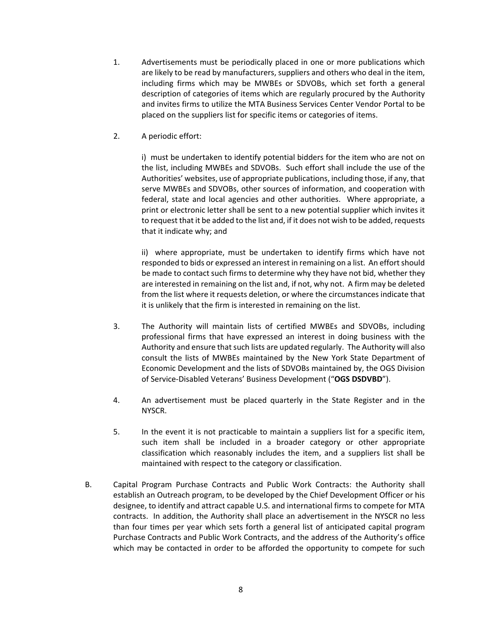- 1. Advertisements must be periodically placed in one or more publications which are likely to be read by manufacturers, suppliers and others who deal in the item, including firms which may be MWBEs or SDVOBs, which set forth a general description of categories of items which are regularly procured by the Authority and invites firms to utilize the MTA Business Services Center Vendor Portal to be placed on the suppliers list for specific items or categories of items.
- 2. A periodic effort:

i) must be undertaken to identify potential bidders for the item who are not on the list, including MWBEs and SDVOBs. Such effort shall include the use of the Authorities' websites, use of appropriate publications, including those, if any, that serve MWBEs and SDVOBs, other sources of information, and cooperation with federal, state and local agencies and other authorities. Where appropriate, a print or electronic letter shall be sent to a new potential supplier which invites it to request that it be added to the list and, if it does not wish to be added, requests that it indicate why; and

ii) where appropriate, must be undertaken to identify firms which have not responded to bids or expressed an interest in remaining on a list. An effort should be made to contact such firms to determine why they have not bid, whether they are interested in remaining on the list and, if not, why not. A firm may be deleted from the list where it requests deletion, or where the circumstances indicate that it is unlikely that the firm is interested in remaining on the list.

- 3. The Authority will maintain lists of certified MWBEs and SDVOBs, including professional firms that have expressed an interest in doing business with the Authority and ensure that such lists are updated regularly. The Authority will also consult the lists of MWBEs maintained by the New York State Department of Economic Development and the lists of SDVOBs maintained by, the OGS Division of Service-Disabled Veterans' Business Development ("**OGS DSDVBD**").
- 4. An advertisement must be placed quarterly in the State Register and in the NYSCR.
- 5. In the event it is not practicable to maintain a suppliers list for a specific item, such item shall be included in a broader category or other appropriate classification which reasonably includes the item, and a suppliers list shall be maintained with respect to the category or classification.
- B. Capital Program Purchase Contracts and Public Work Contracts: the Authority shall establish an Outreach program, to be developed by the Chief Development Officer or his designee, to identify and attract capable U.S. and international firms to compete for MTA contracts. In addition, the Authority shall place an advertisement in the NYSCR no less than four times per year which sets forth a general list of anticipated capital program Purchase Contracts and Public Work Contracts, and the address of the Authority's office which may be contacted in order to be afforded the opportunity to compete for such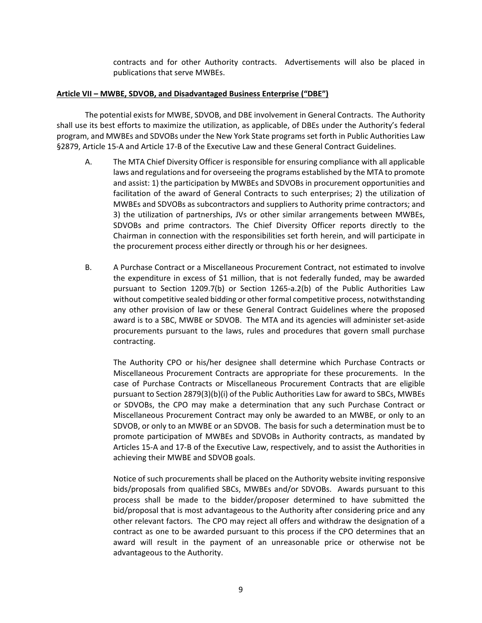contracts and for other Authority contracts. Advertisements will also be placed in publications that serve MWBEs.

#### **Article VII – MWBE, SDVOB, and Disadvantaged Business Enterprise ("DBE")**

The potential exists for MWBE, SDVOB, and DBE involvement in General Contracts. The Authority shall use its best efforts to maximize the utilization, as applicable, of DBEs under the Authority's federal program, and MWBEs and SDVOBs under the New York State programs set forth in Public Authorities Law §2879, Article 15-A and Article 17-B of the Executive Law and these General Contract Guidelines.

- A. The MTA Chief Diversity Officer is responsible for ensuring compliance with all applicable laws and regulations and for overseeing the programs established by the MTA to promote and assist: 1) the participation by MWBEs and SDVOBs in procurement opportunities and facilitation of the award of General Contracts to such enterprises; 2) the utilization of MWBEs and SDVOBs as subcontractors and suppliers to Authority prime contractors; and 3) the utilization of partnerships, JVs or other similar arrangements between MWBEs, SDVOBs and prime contractors. The Chief Diversity Officer reports directly to the Chairman in connection with the responsibilities set forth herein, and will participate in the procurement process either directly or through his or her designees.
- B. A Purchase Contract or a Miscellaneous Procurement Contract, not estimated to involve the expenditure in excess of \$1 million, that is not federally funded, may be awarded pursuant to Section 1209.7(b) or Section 1265-a.2(b) of the Public Authorities Law without competitive sealed bidding or other formal competitive process, notwithstanding any other provision of law or these General Contract Guidelines where the proposed award is to a SBC, MWBE or SDVOB. The MTA and its agencies will administer set-aside procurements pursuant to the laws, rules and procedures that govern small purchase contracting.

The Authority CPO or his/her designee shall determine which Purchase Contracts or Miscellaneous Procurement Contracts are appropriate for these procurements. In the case of Purchase Contracts or Miscellaneous Procurement Contracts that are eligible pursuant to Section 2879(3)(b)(i) of the Public Authorities Law for award to SBCs, MWBEs or SDVOBs, the CPO may make a determination that any such Purchase Contract or Miscellaneous Procurement Contract may only be awarded to an MWBE, or only to an SDVOB, or only to an MWBE or an SDVOB. The basis for such a determination must be to promote participation of MWBEs and SDVOBs in Authority contracts, as mandated by Articles 15-A and 17-B of the Executive Law, respectively, and to assist the Authorities in achieving their MWBE and SDVOB goals.

Notice of such procurements shall be placed on the Authority website inviting responsive bids/proposals from qualified SBCs, MWBEs and/or SDVOBs. Awards pursuant to this process shall be made to the bidder/proposer determined to have submitted the bid/proposal that is most advantageous to the Authority after considering price and any other relevant factors. The CPO may reject all offers and withdraw the designation of a contract as one to be awarded pursuant to this process if the CPO determines that an award will result in the payment of an unreasonable price or otherwise not be advantageous to the Authority.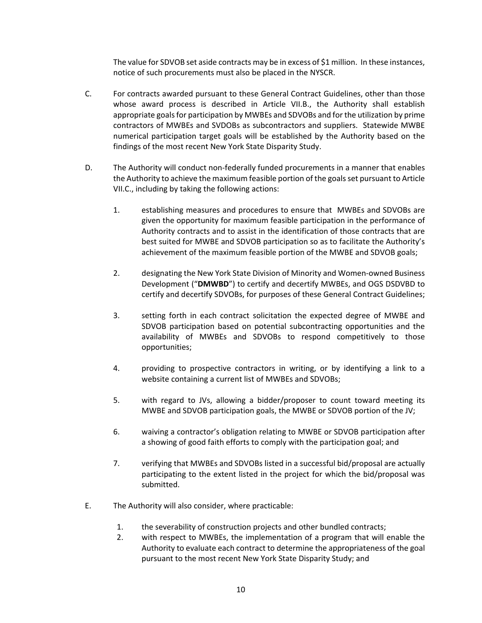The value for SDVOB set aside contracts may be in excess of \$1 million. In these instances, notice of such procurements must also be placed in the NYSCR.

- C. For contracts awarded pursuant to these General Contract Guidelines, other than those whose award process is described in Article VII.B., the Authority shall establish appropriate goals for participation by MWBEs and SDVOBs and for the utilization by prime contractors of MWBEs and SVDOBs as subcontractors and suppliers. Statewide MWBE numerical participation target goals will be established by the Authority based on the findings of the most recent New York State Disparity Study.
- D. The Authority will conduct non-federally funded procurements in a manner that enables the Authority to achieve the maximum feasible portion of the goals set pursuant to Article VII.C., including by taking the following actions:
	- 1. establishing measures and procedures to ensure that MWBEs and SDVOBs are given the opportunity for maximum feasible participation in the performance of Authority contracts and to assist in the identification of those contracts that are best suited for MWBE and SDVOB participation so as to facilitate the Authority's achievement of the maximum feasible portion of the MWBE and SDVOB goals;
	- 2. designating the New York State Division of Minority and Women-owned Business Development ("**DMWBD**") to certify and decertify MWBEs, and OGS DSDVBD to certify and decertify SDVOBs, for purposes of these General Contract Guidelines;
	- 3. setting forth in each contract solicitation the expected degree of MWBE and SDVOB participation based on potential subcontracting opportunities and the availability of MWBEs and SDVOBs to respond competitively to those opportunities;
	- 4. providing to prospective contractors in writing, or by identifying a link to a website containing a current list of MWBEs and SDVOBs;
	- 5. with regard to JVs, allowing a bidder/proposer to count toward meeting its MWBE and SDVOB participation goals, the MWBE or SDVOB portion of the JV;
	- 6. waiving a contractor's obligation relating to MWBE or SDVOB participation after a showing of good faith efforts to comply with the participation goal; and
	- 7. verifying that MWBEs and SDVOBs listed in a successful bid/proposal are actually participating to the extent listed in the project for which the bid/proposal was submitted.
- E. The Authority will also consider, where practicable:
	- 1. the severability of construction projects and other bundled contracts;
	- 2. with respect to MWBEs, the implementation of a program that will enable the Authority to evaluate each contract to determine the appropriateness of the goal pursuant to the most recent New York State Disparity Study; and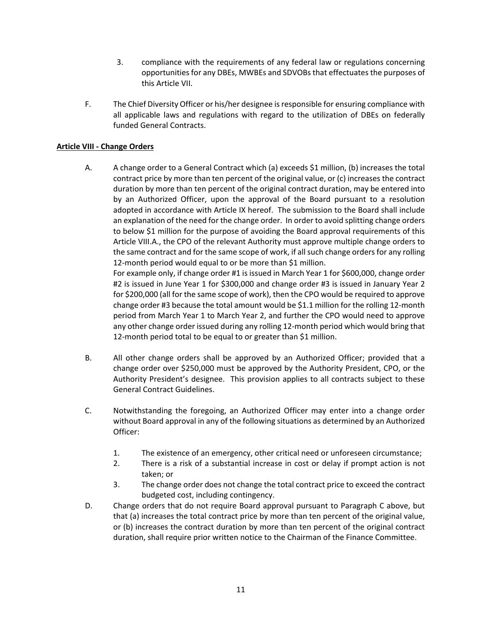- 3. compliance with the requirements of any federal law or regulations concerning opportunities for any DBEs, MWBEs and SDVOBs that effectuates the purposes of this Article VII.
- F. The Chief Diversity Officer or his/her designee is responsible for ensuring compliance with all applicable laws and regulations with regard to the utilization of DBEs on federally funded General Contracts.

# **Article VIII - Change Orders**

A. A change order to a General Contract which (a) exceeds \$1 million, (b) increases the total contract price by more than ten percent of the original value, or (c) increases the contract duration by more than ten percent of the original contract duration, may be entered into by an Authorized Officer, upon the approval of the Board pursuant to a resolution adopted in accordance with Article IX hereof. The submission to the Board shall include an explanation of the need for the change order. In order to avoid splitting change orders to below \$1 million for the purpose of avoiding the Board approval requirements of this Article VIII.A., the CPO of the relevant Authority must approve multiple change orders to the same contract and for the same scope of work, if all such change orders for any rolling 12-month period would equal to or be more than \$1 million.

For example only, if change order #1 is issued in March Year 1 for \$600,000, change order #2 is issued in June Year 1 for \$300,000 and change order #3 is issued in January Year 2 for \$200,000 (all for the same scope of work), then the CPO would be required to approve change order #3 because the total amount would be \$1.1 million for the rolling 12-month period from March Year 1 to March Year 2, and further the CPO would need to approve any other change order issued during any rolling 12-month period which would bring that 12-month period total to be equal to or greater than \$1 million.

- B. All other change orders shall be approved by an Authorized Officer; provided that a change order over \$250,000 must be approved by the Authority President, CPO, or the Authority President's designee. This provision applies to all contracts subject to these General Contract Guidelines.
- C. Notwithstanding the foregoing, an Authorized Officer may enter into a change order without Board approval in any of the following situations as determined by an Authorized Officer:
	- 1. The existence of an emergency, other critical need or unforeseen circumstance;
	- 2. There is a risk of a substantial increase in cost or delay if prompt action is not taken; or
	- 3. The change order does not change the total contract price to exceed the contract budgeted cost, including contingency.
- D. Change orders that do not require Board approval pursuant to Paragraph C above, but that (a) increases the total contract price by more than ten percent of the original value, or (b) increases the contract duration by more than ten percent of the original contract duration, shall require prior written notice to the Chairman of the Finance Committee.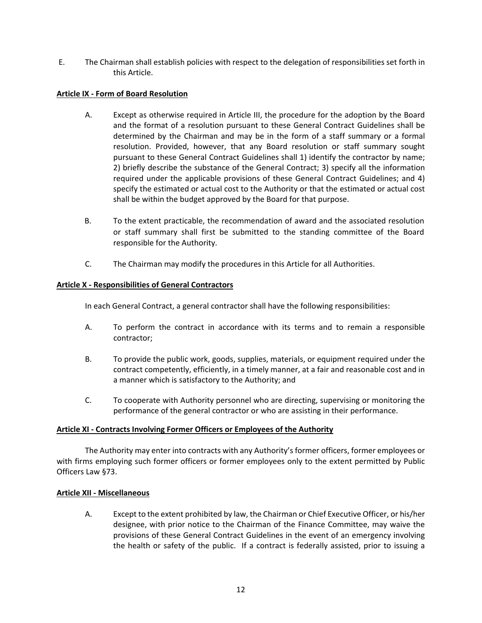E. The Chairman shall establish policies with respect to the delegation of responsibilities set forth in this Article.

## **Article IX - Form of Board Resolution**

- A. Except as otherwise required in Article III, the procedure for the adoption by the Board and the format of a resolution pursuant to these General Contract Guidelines shall be determined by the Chairman and may be in the form of a staff summary or a formal resolution. Provided, however, that any Board resolution or staff summary sought pursuant to these General Contract Guidelines shall 1) identify the contractor by name; 2) briefly describe the substance of the General Contract; 3) specify all the information required under the applicable provisions of these General Contract Guidelines; and 4) specify the estimated or actual cost to the Authority or that the estimated or actual cost shall be within the budget approved by the Board for that purpose.
- B. To the extent practicable, the recommendation of award and the associated resolution or staff summary shall first be submitted to the standing committee of the Board responsible for the Authority.
- C. The Chairman may modify the procedures in this Article for all Authorities.

# **Article X - Responsibilities of General Contractors**

In each General Contract, a general contractor shall have the following responsibilities:

- A. To perform the contract in accordance with its terms and to remain a responsible contractor;
- B. To provide the public work, goods, supplies, materials, or equipment required under the contract competently, efficiently, in a timely manner, at a fair and reasonable cost and in a manner which is satisfactory to the Authority; and
- C. To cooperate with Authority personnel who are directing, supervising or monitoring the performance of the general contractor or who are assisting in their performance.

## **Article XI - Contracts Involving Former Officers or Employees of the Authority**

The Authority may enter into contracts with any Authority's former officers, former employees or with firms employing such former officers or former employees only to the extent permitted by Public Officers Law §73.

## **Article XII - Miscellaneous**

A. Except to the extent prohibited by law, the Chairman or Chief Executive Officer, or his/her designee, with prior notice to the Chairman of the Finance Committee, may waive the provisions of these General Contract Guidelines in the event of an emergency involving the health or safety of the public. If a contract is federally assisted, prior to issuing a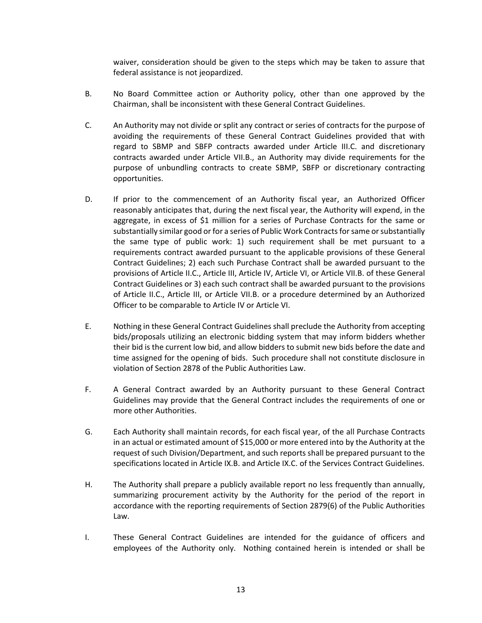waiver, consideration should be given to the steps which may be taken to assure that federal assistance is not jeopardized.

- B. No Board Committee action or Authority policy, other than one approved by the Chairman, shall be inconsistent with these General Contract Guidelines.
- C. An Authority may not divide or split any contract or series of contracts for the purpose of avoiding the requirements of these General Contract Guidelines provided that with regard to SBMP and SBFP contracts awarded under Article III.C. and discretionary contracts awarded under Article VII.B., an Authority may divide requirements for the purpose of unbundling contracts to create SBMP, SBFP or discretionary contracting opportunities.
- D. If prior to the commencement of an Authority fiscal year, an Authorized Officer reasonably anticipates that, during the next fiscal year, the Authority will expend, in the aggregate, in excess of \$1 million for a series of Purchase Contracts for the same or substantially similar good or for a series of Public Work Contracts for same or substantially the same type of public work: 1) such requirement shall be met pursuant to a requirements contract awarded pursuant to the applicable provisions of these General Contract Guidelines; 2) each such Purchase Contract shall be awarded pursuant to the provisions of Article II.C., Article III, Article IV, Article VI, or Article VII.B. of these General Contract Guidelines or 3) each such contract shall be awarded pursuant to the provisions of Article II.C., Article III, or Article VII.B. or a procedure determined by an Authorized Officer to be comparable to Article IV or Article VI.
- E. Nothing in these General Contract Guidelines shall preclude the Authority from accepting bids/proposals utilizing an electronic bidding system that may inform bidders whether their bid is the current low bid, and allow bidders to submit new bids before the date and time assigned for the opening of bids. Such procedure shall not constitute disclosure in violation of Section 2878 of the Public Authorities Law.
- F. A General Contract awarded by an Authority pursuant to these General Contract Guidelines may provide that the General Contract includes the requirements of one or more other Authorities.
- G. Each Authority shall maintain records, for each fiscal year, of the all Purchase Contracts in an actual or estimated amount of \$15,000 or more entered into by the Authority at the request of such Division/Department, and such reports shall be prepared pursuant to the specifications located in Article IX.B. and Article IX.C. of the Services Contract Guidelines.
- H. The Authority shall prepare a publicly available report no less frequently than annually, summarizing procurement activity by the Authority for the period of the report in accordance with the reporting requirements of Section 2879(6) of the Public Authorities Law.
- I. These General Contract Guidelines are intended for the guidance of officers and employees of the Authority only. Nothing contained herein is intended or shall be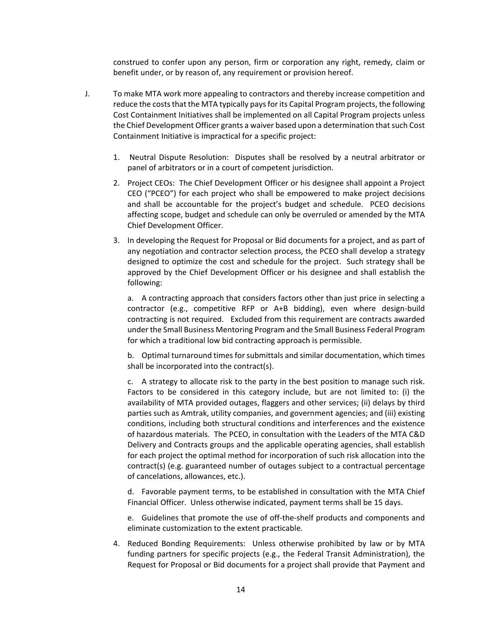construed to confer upon any person, firm or corporation any right, remedy, claim or benefit under, or by reason of, any requirement or provision hereof.

- J. To make MTA work more appealing to contractors and thereby increase competition and reduce the costs that the MTA typically pays for its Capital Program projects, the following Cost Containment Initiatives shall be implemented on all Capital Program projects unless the Chief Development Officer grants a waiver based upon a determination that such Cost Containment Initiative is impractical for a specific project:
	- 1. Neutral Dispute Resolution: Disputes shall be resolved by a neutral arbitrator or panel of arbitrators or in a court of competent jurisdiction.
	- 2. Project CEOs: The Chief Development Officer or his designee shall appoint a Project CEO ("PCEO") for each project who shall be empowered to make project decisions and shall be accountable for the project's budget and schedule. PCEO decisions affecting scope, budget and schedule can only be overruled or amended by the MTA Chief Development Officer.
	- 3. In developing the Request for Proposal or Bid documents for a project, and as part of any negotiation and contractor selection process, the PCEO shall develop a strategy designed to optimize the cost and schedule for the project. Such strategy shall be approved by the Chief Development Officer or his designee and shall establish the following:

a. A contracting approach that considers factors other than just price in selecting a contractor (e.g., competitive RFP or A+B bidding), even where design-build contracting is not required. Excluded from this requirement are contracts awarded under the Small Business Mentoring Program and the Small Business Federal Program for which a traditional low bid contracting approach is permissible.

b. Optimal turnaround times for submittals and similar documentation, which times shall be incorporated into the contract(s).

c. A strategy to allocate risk to the party in the best position to manage such risk. Factors to be considered in this category include, but are not limited to: (i) the availability of MTA provided outages, flaggers and other services; (ii) delays by third parties such as Amtrak, utility companies, and government agencies; and (iii) existing conditions, including both structural conditions and interferences and the existence of hazardous materials. The PCEO, in consultation with the Leaders of the MTA C&D Delivery and Contracts groups and the applicable operating agencies, shall establish for each project the optimal method for incorporation of such risk allocation into the contract(s) (e.g. guaranteed number of outages subject to a contractual percentage of cancelations, allowances, etc.).

d. Favorable payment terms, to be established in consultation with the MTA Chief Financial Officer. Unless otherwise indicated, payment terms shall be 15 days.

e. Guidelines that promote the use of off-the-shelf products and components and eliminate customization to the extent practicable.

4. Reduced Bonding Requirements: Unless otherwise prohibited by law or by MTA funding partners for specific projects (e.g., the Federal Transit Administration), the Request for Proposal or Bid documents for a project shall provide that Payment and